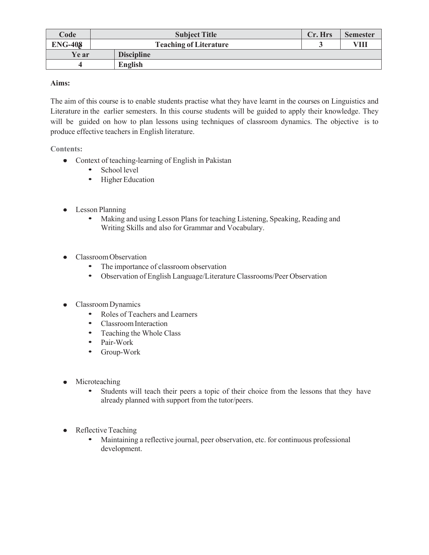| Code         | <b>Subject Title</b>          | Cr. Hrs | <b>Semester</b> |
|--------------|-------------------------------|---------|-----------------|
| $ENG-408$    | <b>Teaching of Literature</b> |         | VIII            |
| <b>Ye ar</b> | <b>Discipline</b>             |         |                 |
|              | <b>English</b>                |         |                 |

## **Aims:**

The aim of this course is to enable students practise what they have learnt in the courses on Linguistics and Literature in the earlier semesters. In this course students will be guided to apply their knowledge. They will be guided on how to plan lessons using techniques of classroom dynamics. The objective is to produce effective teachers in English literature.

## **Contents:**

- Context of teaching-learning of English in Pakistan
	- School level
	- Higher Education
- Lesson Planning  $\bullet$ 
	- Making and using Lesson Plans for teaching Listening, Speaking, Reading and Writing Skills and also for Grammar and Vocabulary.
- Classroom Observation
	- The importance of classroom observation
	- Observation of English Language/Literature Classrooms/Peer Observation
- Classroom Dynamics
	- Roles of Teachers and Learners
	- Classroom Interaction
	- Teaching the Whole Class
	- Pair-Work
	- Group-Work
- Microteaching  $\bullet$ 
	- Students will teach their peers a topic of their choice from the lessons that they have already planned with support from the tutor/peers.
- $\bullet$ Reflective Teaching
	- Maintaining a reflective journal, peer observation, etc. for continuous professional development.